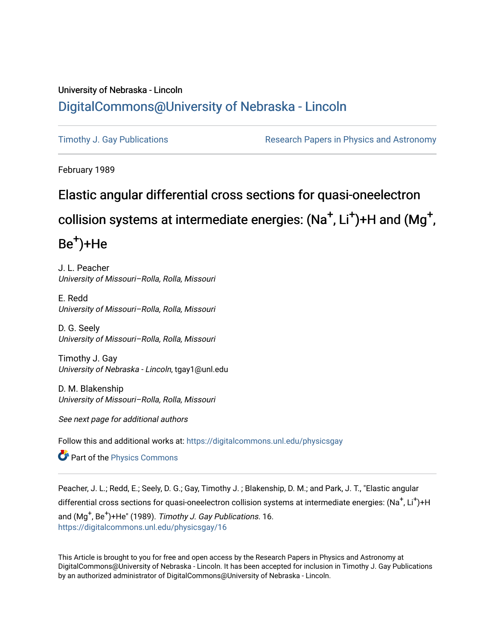# University of Nebraska - Lincoln [DigitalCommons@University of Nebraska - Lincoln](https://digitalcommons.unl.edu/)

[Timothy J. Gay Publications](https://digitalcommons.unl.edu/physicsgay) **Research Papers in Physics and Astronomy** 

February 1989

# Elastic angular differential cross sections for quasi-oneelectron

# collision systems at intermediate energies: (Na<sup>+</sup>, Li<sup>+</sup>)+H and (Mg<sup>+</sup>,

# Be<sup>+</sup>)+He

J. L. Peacher University of Missouri–Rolla, Rolla, Missouri

E. Redd University of Missouri–Rolla, Rolla, Missouri

D. G. Seely University of Missouri–Rolla, Rolla, Missouri

Timothy J. Gay University of Nebraska - Lincoln, tgay1@unl.edu

D. M. Blakenship University of Missouri–Rolla, Rolla, Missouri

See next page for additional authors

Follow this and additional works at: [https://digitalcommons.unl.edu/physicsgay](https://digitalcommons.unl.edu/physicsgay?utm_source=digitalcommons.unl.edu%2Fphysicsgay%2F16&utm_medium=PDF&utm_campaign=PDFCoverPages)

**Part of the [Physics Commons](http://network.bepress.com/hgg/discipline/193?utm_source=digitalcommons.unl.edu%2Fphysicsgay%2F16&utm_medium=PDF&utm_campaign=PDFCoverPages)** 

Peacher, J. L.; Redd, E.; Seely, D. G.; Gay, Timothy J. ; Blakenship, D. M.; and Park, J. T., "Elastic angular differential cross sections for quasi-oneelectron collision systems at intermediate energies: (Na<sup>+</sup>, Li<sup>+</sup>)+H and  $(Mg^+, Be^+)$ +He" (1989). Timothy J. Gay Publications. 16. [https://digitalcommons.unl.edu/physicsgay/16](https://digitalcommons.unl.edu/physicsgay/16?utm_source=digitalcommons.unl.edu%2Fphysicsgay%2F16&utm_medium=PDF&utm_campaign=PDFCoverPages) 

This Article is brought to you for free and open access by the Research Papers in Physics and Astronomy at DigitalCommons@University of Nebraska - Lincoln. It has been accepted for inclusion in Timothy J. Gay Publications by an authorized administrator of DigitalCommons@University of Nebraska - Lincoln.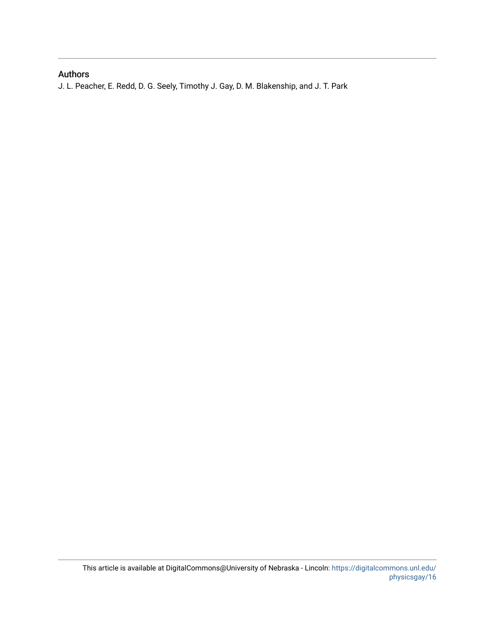## Authors

J. L. Peacher, E. Redd, D. G. Seely, Timothy J. Gay, D. M. Blakenship, and J. T. Park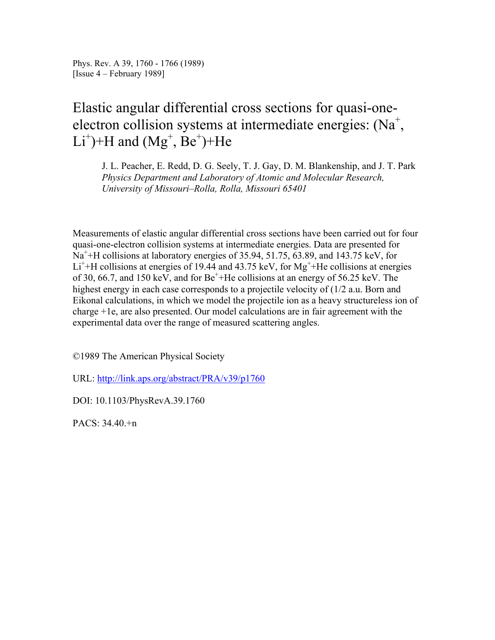Phys. Rev. A 39, 1760 - 1766 (1989) [Issue 4 – February 1989]

# Elastic angular differential cross sections for quasi-oneelectron collision systems at intermediate energies:  $(Na^+$ ,  $Li^+$ )+H and (Mg<sup>+</sup>, Be<sup>+</sup>)+He

J. L. Peacher, E. Redd, D. G. Seely, T. J. Gay, D. M. Blankenship, and J. T. Park *Physics Department and Laboratory of Atomic and Molecular Research, University of Missouri–Rolla, Rolla, Missouri 65401*

Measurements of elastic angular differential cross sections have been carried out for four quasi-one-electron collision systems at intermediate energies. Data are presented for  $Na<sup>+</sup> + H$  collisions at laboratory energies of 35.94, 51.75, 63.89, and 143.75 keV, for  $Li<sup>+</sup> + H$  collisions at energies of 19.44 and 43.75 keV, for Mg<sup>+</sup>+He collisions at energies of 30, 66.7, and 150 keV, and for  $Be^+$ +He collisions at an energy of 56.25 keV. The highest energy in each case corresponds to a projectile velocity of  $(1/2 \text{ a.u. Born and}$ Eikonal calculations, in which we model the projectile ion as a heavy structureless ion of charge +1e, are also presented. Our model calculations are in fair agreement with the experimental data over the range of measured scattering angles.

©1989 The American Physical Society

URL: http://link.aps.org/abstract/PRA/v39/p1760

DOI: 10.1103/PhysRevA.39.1760

PACS: 34.40.+n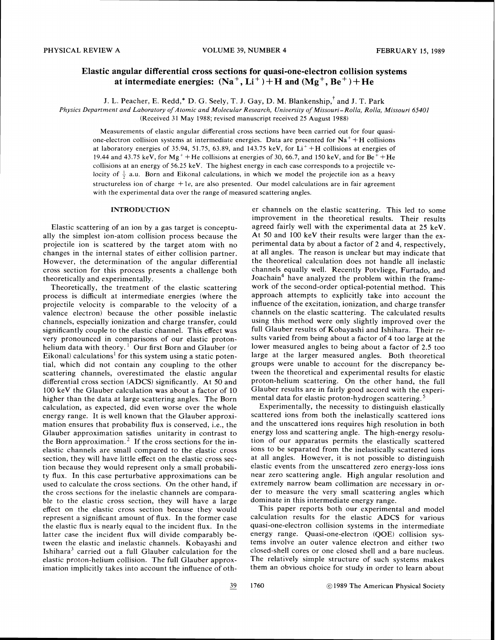## **Elastic angular differential cross sections for quasi-one-electron collision systems**  at intermediate energies:  $(Na^+, Li^+) + H$  and  $(Mg^+, Be^+) + He$

J. L. Peacher, E. Redd,\* D. G. Seely, T. J. Gay, D. M. Blankenship,'and J. T. Park

*Physics Deparrmenr and Laboratory of Atomic and Molecular Research, University of Missouri-Rolla, Rolla, Missouri 65401* 

(Received 31 May 1988; revised manuscript received 25 August 1988)

Measurements of elastic angular differential cross sections have been carried out for four quasione-electron collision systems at intermediate energies. Data are presented for  $Na<sup>+</sup> + H$  collisions at laboratory energies of 35.94, 51.75, 63.89, and 143.75 keV, for  $Li<sup>+</sup> + H$  collisions at energies of 19.44 and 43.75 keV, for Mg<sup>+</sup> +He collisions at energies of 30, 66.7, and 150 keV, and for Be<sup>+</sup> +He collisions at an energy of 56.25 keV. The highest energy in each case corresponds to a projectile velocity of  $\frac{1}{2}$  a.u. Born and Eikonal calculations, in which we model the projectile ion as a heavy structureless ion of charge  $+1e$ , are also presented. Our model calculations are in fair agreement with the experimental data over the range of measured scattering angles.

## INTRODUCTION

Elastic scattering of an ion by a gas target is conceptually the simplest ion-atom collision process because the projectile ion is scattered by the target atom with no changes in the internal states of either collision partner. However, the determination of the angular differential cross section for this process presents a challenge both theoretically and experimentally.

Theoretically, the treatment of the elastic scattering process is difficult at intermediate energies (where the projectile velocity is comparable to the velocity of a valence electron) because the other possible inelastic channels, especially ionization and charge transfer, could significantly couple to the elastic channel. This effect was very pronounced in comparisons of our elastic protonhelium data with theory.<sup>1</sup> Our first Born and Glauber (or Eikonal) calculations<sup>1</sup> for this system using a static potential, which did not contain any coupling to the other scattering channels, overestimated the elastic angular differential cross section (ADCS) significantly. At 50 and 100 keV the Glauber calculation was about a factor of 10 higher than the data at large scattering angles. The Born calculation, as expected, did even worse over the whole energy range. It is well known that the Glauber approximation ensures that probability flux is conserved, i.e., the Glauber approximation satisfies unitarity in contrast to the Born approximation.<sup>2</sup> If the cross sections for the inelastic channels are small compared to the elastic cross section, they will have little effect on the elastic cross section because they would represent only a small probability flux. In this case perturbative approximations can be used to calculate the cross sections. On the other hand, if the cross sections for the inelastic channels are comparable to the elastic cross section, they will have a large effect on the elastic cross section because they would represent a significant amount of flux. In the former case the elastic flux is nearly equal to the incident flux. In the latter case the incident flux will divide comparably between the elastic and inelastic channels. Kobayashi and Ishihara<sup>3</sup> carried out a full Glauber calculation for the elastic proton-helium collision. The full Glauber approximation implicitly takes into account the influence of other channels on the elastic scattering. This led to some improvement in the theoretical results. Their results agreed fairly well with the experimental data at 25 keV. At 50 and 100 keV their results were larger than the experimental data by about a factor of 2 and 4, respectively, at all angles. The reason is unclear but may indicate that the theoretical calculation does not handle all inelastic channels equally well. Recently Potvliege, Furtado, and Joachain<sup>4</sup> have analyzed the problem within the framework of the second-order optical-potential method. This approach attempts to explicitly take into account the influence of the excitation, ionization, and charge transfer channels on the elastic scattering. The calculated results using this method were only slightly improved over the full Glauber results of Kobayashi and Ishihara. Their results varied from being about a factor of 4 too large at the lower measured angles to being about a factor of 2.5 too large at the larger measured angles. Both theoretical groups were unable to account for the discrepancy between the theoretical and experimental results for elastic proton-helium scattering. On the other hand, the full Glauber results are in fairly good accord with the experimental data for elastic proton-hydrogen scattering.<sup>5</sup>

Experimentally, the necessity to distinguish elastically scattered ions from both the inelastically scattered ions and the unscattered ions requires high resolution in both energy loss and scattering angle. The high-energy resolution of our apparatus permits the elastically scattered ions to be separated from the inelastically scattered ions at all angles. However, it is not possible to distinguish elastic events from the unscattered zero energy-loss ions near zero scattering angle. High angular resolution and extremely narrow beam collimation are necessary in order to measure the very small scattering angles which dominate in this intermediate energy range.

This paper reports both our experimental and model calculation results for the elastic ADCS for various quasi-one-electron collision systems in the intermediate energy range. Quasi-one-electron (QOE) collision systems involve an outer valence electron and either two closed-shell cores or one closed shell and a bare nucleus. The relatively simple structure of such systems makes them an obvious choice for study in order to learn about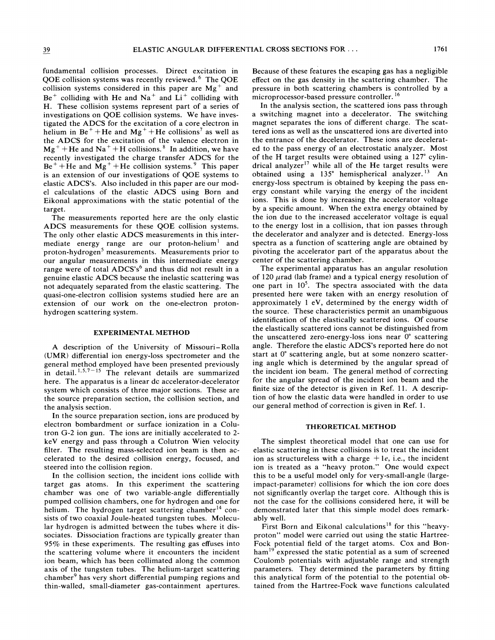fundamental collision processes. Direct excitation in QOE collision systems was recently reviewed. The QOE collision systems considered in this paper are  $Mg^+$  and  $Be<sup>+</sup>$  colliding with He and Na<sup>+</sup> and Li<sup>+</sup> colliding with H. These collision systems represent part of a series of investigations on QOE collision systems. We have investigated the ADCS for the excitation of a core electron in helium in  $Be^+ + He$  and  $Mg^+ +He$  collisions<sup>7</sup> as well as the ADCS for the excitation of the valence electron in  $Mg^{+}$  + He and Na<sup>+</sup> + H collisions.<sup>8</sup> In addition, we have recently investigated the charge transfer ADCS for the  $Be<sup>+</sup> + He$  and  $Mg<sup>+</sup> +He$  collision systems.<sup>9</sup> This paper is an extension of our investigations of QOE systems to elastic ADCS's. Also included in this paper are our model calculations of the elastic ADCS using Born and Eikonal approximations with the static potential of the target.

The measurements reported here are the only elastic ADCS measurements for these QOE collision systems. The only other elastic ADCS measurements in this intermediate energy range are our proton-helium<sup>1</sup> and proton-hydrogen<sup>5</sup> measurements. Measurements prior to our angular measurements in this intermediate energy range were of total ADCS's<sup>6</sup> and thus did not result in a genuine elastic ADCS because the inelastic scattering was not adequately separated from the elastic scattering. The quasi-one-electron collision systems studied here are an extension of our work on the one-electron protonhydrogen scattering system.

#### **EXPERIMEKTAL METHOD**

A description of the University of Missouri-Rolla (UMR) differential ion energy-loss spectrometer and the general method employed have been presented previously in detail. <sup>1,5,7-15</sup> The relevant details are summarized here. The apparatus is a linear dc accelerator-decelerator system which consists of three major sections. These are the source preparation section, the collision section, and the analysis section.

In the source preparation section, ions are produced by electron bombardment or surface ionization in a Colutron G-2 ion gun. The ions are initially accelerated to 2 keV energy and pass through a Colutron Wien velocity filter. The resulting mass-selected ion beam is then accelerated to the desired collision energy, focused, and steered into the collision region.

In the collision section, the incident ions collide with target gas atoms. In this experiment the scattering chamber was one of two variable-angle differentially pumped collision chambers, one for hydrogen and one for helium. The hydrogen target scattering chamber<sup>14</sup> consists of two coaxial Joule-heated tungsten tubes. Molecular hydrogen is admitted between the tubes where it dissociates. Dissociation fractions are typically greater than 95% in these experiments. The resulting gas effuses into the scattering volume where it encounters the incident ion beam, which has been collimated along the common axis of the tungsten tubes. The helium-target scattering chamber<sup>9</sup> has very short differential pumping regions and thin-walled, small-diameter gas-containment apertures.

Because of these features the escaping gas has a negligible effect on the gas density in the scattering chamber. The pressure in both scattering chambers is controlled by a microprocessor-based pressure controller. **l6** 

In the analysis section, the scattered ions pass through a switching magnet into a decelerator. The switching magnet separates the ions of different charge. The scattered ions as well as the unscattered ions are diverted into the entrance of the decelerator. These ions are decelerated to the pass energy of an electrostatic analyzer. Most of the H target results were obtained using a 127" cylindrical analyzer<sup>17</sup> while all of the He target results were obtained using a 135° hemispherical analyzer.<sup>13</sup> An energy-loss spectrum is obtained by keeping the pass energy constant while varying the energy of the incident ions. This is done by increasing the accelerator voltage by a specific amount. When the extra energy obtained by the ion due to the increased accelerator voltage is equal to the energy lost in a collision, that ion passes through the decelerator and analyzer and is detected. Energy-loss spectra as a function of scattering angle are obtained by pivoting the accelerator part of the apparatus about the center of the scattering chamber.

The experimental apparatus has an angular resolution of 120  $\mu$ rad (lab frame) and a typical energy resolution of one part in  $10^5$ . The spectra associated with the data presented here were taken with an energy resolution of approximately 1 eV, determined by the energy width of the source. These characteristics permit an unambiguous identification of the elastically scattered ions. Of course the elastically scattered ions cannot be distinguished from the unscattered zero-energy-loss ions near O" scattering angle. Therefore the elastic ADCS's reported here do not start at  $0^{\circ}$  scattering angle, but at some nonzero scattering angle which is determined by the angular spread of the incident ion beam. The general method of correcting for the angular spread of the incident ion beam and the finite size of the detector is given in Ref. 11. A description of how the elastic data were handled in order to use our general method of correction is given in Ref. 1.

### **THEORETICAL METHOD**

The simplest theoretical model that one can use for elastic scattering in these collisions is to treat the incident ion as structureless with a charge  $+1e$ , i.e., the incident ion is treated as a "heavy proton." One would expect this to be a useful model only for very-small-angle (largeimpact-parameter) collisions for which the ion core does not significantly overlap the target core. Although this is not the case for the collisions considered here, it will be demonstrated later that this simple model does remarkably well.

First Born and Eikonal calculations<sup>18</sup> for this "heavyproton" model were carried out using the static Hartree-Fock potential field of the target atoms. Cox and Bon $ham<sup>19</sup>$  expressed the static potential as a sum of screened Coulomb potentials with adjustable range and strength parameters. They determined the parameters by fitting this analytical form of the potential to the potential obtained from the Hartree-Fock wave functions calculated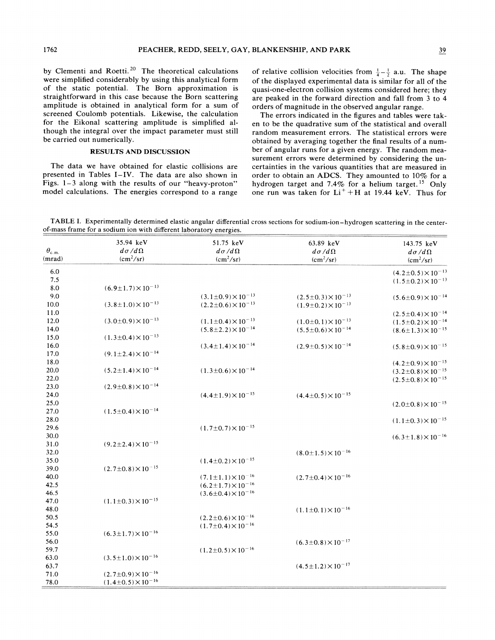by Clementi and Roetti.<sup>20</sup> The theoretical calculations were simplified considerably by using this analytical form of the static potential. The Born approximation is straightforward in this case because the Born scattering amplitude is obtained in analytical form for a sum of screened Coulomb potentials. Likewise, the calculation for the Eikonal scattering amplitude is simplified although the integral over the impact parameter must still be carried out numerically.

### **RESULTS AND DISCUSSION**

The data we have obtained for elastic collisions are presented in Tables I-IV. The data are also shown in Figs. 1-3 along with the results of our "heavy-proton" model calculations. The energies correspond to a range

of relative collision velocities from  $\frac{1}{4} - \frac{1}{2}$  a.u. The shape of the displayed experimental data is similar for all of the quasi-one-electron collision systems considered here; they are peaked in the forward direction and fall from 3 to 4 orders of magnitude in the observed angular range.

The errors indicated in the figures and tables were taken to be the quadrative sum of the statistical and overall random measurement errors. The statistical errors were obtained by averaging together the final results of a number of angular runs for a given energy. The random measurement errors were determined by considering the uncertainties in the various quantities that are measured in order to obtain an ADCS. They amounted to 10% for a hydrogen target and 7.4% for a helium target.<sup>15</sup> Only one run was taken for  $Li^{+}+H$  at 19.44 keV. Thus for

TABLE I. Experimentally determined elastic angular differential cross sections for sodium-ion-hydrogen scattering in the centerof-mass frame for a sodium ion with different laboratory energies.

|                     | 35.94 keV                       | 51.75 keV                       | 63.89 keV                       | 143.75 keV                      |
|---------------------|---------------------------------|---------------------------------|---------------------------------|---------------------------------|
| $\theta_{\rm c.m.}$ | $d\sigma/d\Omega$               | $d\sigma/d\Omega$               | $d\sigma/d\Omega$               | $d\sigma/d\Omega$               |
| (mrad)              | $(cm^2/sr)$                     | $(cm^2/sr)$                     | $(cm^2/sr)$                     | $(cm^2/sr)$                     |
| 6.0                 |                                 |                                 |                                 | $(4.2\pm0.5)\times10^{-13}$     |
| 7.5                 |                                 |                                 |                                 | $(1.5\pm0.2)\times10^{-13}$     |
| 8.0                 | $(6.9 \pm 1.7) \times 10^{-13}$ |                                 |                                 |                                 |
| 9.0                 |                                 | $(3.1\pm0.9)\times10^{-13}$     | $(2.5 \pm 0.3) \times 10^{-13}$ | $(5.6 \pm 0.9) \times 10^{-14}$ |
| 10.0                | $(3.8 \pm 1.0) \times 10^{-13}$ | $(2.2 \pm 0.6) \times 10^{-13}$ | $(1.9 \pm 0.2) \times 10^{-13}$ |                                 |
| 11.0                |                                 |                                 |                                 | $(2.5 \pm 0.4) \times 10^{-14}$ |
| 12.0                | $(3.0\pm0.9)\times10^{-13}$     | $(1.1\pm0.4)\times10^{-13}$     | $(1.0\pm0.1)\times10^{-13}$     | $(1.5 \pm 0.2) \times 10^{-14}$ |
| 14.0                |                                 | $(5.8 \pm 2.2) \times 10^{-14}$ | $(5.5 \pm 0.6) \times 10^{-14}$ | $(8.6 \pm 1.3) \times 10^{-15}$ |
| 15.0                | $(1.3\pm0.4)\times10^{-13}$     |                                 |                                 |                                 |
| 16.0                |                                 | $(3.4 \pm 1.4) \times 10^{-14}$ | $(2.9 \pm 0.5) \times 10^{-14}$ | $(5.8 \pm 0.9) \times 10^{-15}$ |
| 17.0                | $(9.1 \pm 2.4) \times 10^{-14}$ |                                 |                                 |                                 |
| 18.0                |                                 |                                 |                                 | $(4.2 \pm 0.9) \times 10^{-15}$ |
| 20.0                | $(5.2 \pm 1.4) \times 10^{-14}$ | $(1.3 \pm 0.6) \times 10^{-14}$ |                                 | $(3.2 \pm 0.8) \times 10^{-15}$ |
| 22.0                |                                 |                                 |                                 | $(2.5\pm0.8)\times10^{-15}$     |
| 23.0                | $(2.9\pm0.8)\times10^{-14}$     |                                 |                                 |                                 |
| 24.0                |                                 | $(4.4 \pm 1.9) \times 10^{-15}$ | $(4.4 \pm 0.5) \times 10^{-15}$ |                                 |
| 25.0                |                                 |                                 |                                 | $(2.0\pm0.8)\times10^{-15}$     |
| 27.0                | $(1.5 \pm 0.4) \times 10^{-14}$ |                                 |                                 |                                 |
| 28.0                |                                 |                                 |                                 | $(1.1\pm0.3)\times10^{-15}$     |
| 29.6                |                                 | $(1.7 \pm 0.7) \times 10^{-15}$ |                                 |                                 |
| 30.0                |                                 |                                 |                                 | $(6.3 \pm 1.8) \times 10^{-16}$ |
| 31.0                | $(9.2 \pm 2.4) \times 10^{-15}$ |                                 |                                 |                                 |
| 32.0                |                                 |                                 | $(8.0 \pm 1.5) \times 10^{-16}$ |                                 |
| 35.0                |                                 | $(1.4 \pm 0.2) \times 10^{-15}$ |                                 |                                 |
| 39.0                | $(2.7 \pm 0.8) \times 10^{-15}$ |                                 |                                 |                                 |
| 40.0                |                                 | $(7.1 \pm 1.1) \times 10^{-16}$ | $(2.7 \pm 0.4) \times 10^{-16}$ |                                 |
| 42.5                |                                 | $(6.2 \pm 1.7) \times 10^{-16}$ |                                 |                                 |
| 46.5                |                                 | $(3.6 \pm 0.4) \times 10^{-16}$ |                                 |                                 |
| 47.0                | $(1.1 \pm 0.3) \times 10^{-15}$ |                                 |                                 |                                 |
| 48.0                |                                 |                                 | $(1.1\pm0.1)\times10^{-16}$     |                                 |
| 50.5                |                                 | $(2.2 \pm 0.6) \times 10^{-16}$ |                                 |                                 |
| 54.5                |                                 | $(1.7 \pm 0.4) \times 10^{-16}$ |                                 |                                 |
| 55.0                | $(6.3 \pm 1.7) \times 10^{-16}$ |                                 |                                 |                                 |
| 56.0                |                                 |                                 | $(6.3 \pm 0.8) \times 10^{-17}$ |                                 |
| 59.7                |                                 | $(1.2\pm0.5)\times10^{-16}$     |                                 |                                 |
| 63.0                | $(3.5 \pm 1.0) \times 10^{-16}$ |                                 |                                 |                                 |
| 63.7                |                                 |                                 | $(4.5 \pm 1.2) \times 10^{-17}$ |                                 |
| 71.0                | $(2.7\pm0.9)\times10^{-16}$     |                                 |                                 |                                 |
| 78.0                | $(1.4 \pm 0.5) \times 10^{-16}$ |                                 |                                 |                                 |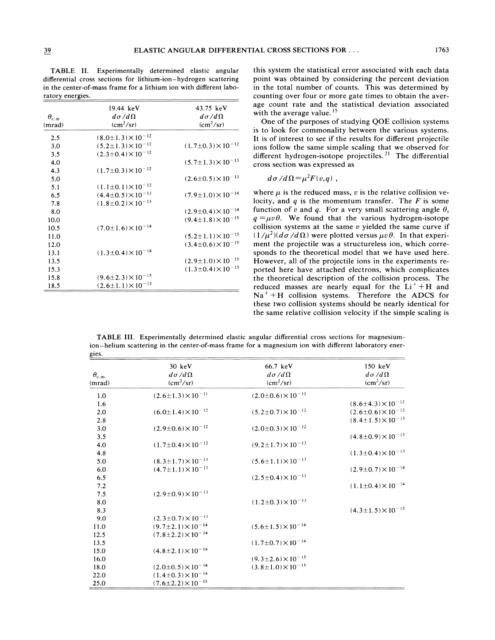**TABLE 11.** Experimentally determined elastic angular differential cross sections for lithium-ion-hydrogen scattering in the center-of-mass frame for a lithium ion with different laboratory energies.

| $\theta_{\rm c.m}$ | 19.44 keV<br>$d\sigma/d\Omega$  | 43.75 keV<br>$d\sigma/d\Omega$  |
|--------------------|---------------------------------|---------------------------------|
| (mrad)             | $\rm (cm^2/sr)$                 | $\rm (cm^2/sr)$                 |
| 2.5                | $(8.0 \pm 1.3) \times 10^{-12}$ |                                 |
| 3.0                | $(5.2 \pm 1.3) \times 10^{-12}$ | $(1.7\pm0.3)\times10^{-12}$     |
| 3.5                | $(2.3 \pm 0.4) \times 10^{-12}$ |                                 |
| 4.0                |                                 | $(5.7 \pm 1.3) \times 10^{-13}$ |
| 4.3                | $(1.7\pm0.3)\times10^{-12}$     |                                 |
| 5.0                |                                 | $(2.6 \pm 0.5) \times 10^{-13}$ |
| 5.1                | $(1.1 \pm 0.1) \times 10^{-12}$ |                                 |
| 6.5                | $(4.4 \pm 0.5) \times 10^{-13}$ | $(7.9 \pm 1.0) \times 10^{-14}$ |
| 7.8                | $(1.8\pm0.2)\times10^{-13}$     |                                 |
| 8.0                |                                 | $(2.9 \pm 0.4) \times 10^{-14}$ |
| 10.0               |                                 | $(9.4 \pm 1.8) \times 10^{-15}$ |
| 10.5               | $(7.0 \pm 1.6) \times 10^{-14}$ |                                 |
| 11.0               |                                 | $(5.2 \pm 1.1) \times 10^{-15}$ |
| 12.0               |                                 | $(3.4\pm0.6)\times10^{-15}$     |
| 13.1               | $(1.3 \pm 0.4) \times 10^{-14}$ |                                 |
| 13.5               |                                 | $(2.9 \pm 1.0) \times 10^{-15}$ |
| 15.3               |                                 | $(1.3 \pm 0.4) \times 10^{-15}$ |
| 15.8               | $(9.6 \pm 2.3) \times 10^{-15}$ |                                 |
| 18.5               | $(2.6 \pm 1.1) \times 10^{-15}$ |                                 |

this system the statistical error associated with each data point was obtained by considering the percent deviation in the total number of counts. This was determined by counting over four or more gate times to obtain the average count rate and the statistical deviation associated with the average value.<sup>15</sup>

One of the purposes of studying QOE collision systems is to look for commonality between the various systems. It is of interest to see if the results for different projectile ions follow the same simple scaling that we observed for different hydrogen-isotope projectiles.<sup>21</sup> The differential cross section was expressed as

$$
d\sigma/d\Omega = \mu^2 F(v,q)
$$

where  $\mu$  is the reduced mass, v is the relative collision velocity, and  $q$  is the momentum transfer. The  $F$  is some function of v and q. For a very small scattering angle  $\theta$ ,  $q = \mu v \theta$ . We found that the various hydrogen-isotope collision systems at the same  $v$  yielded the same curve if  $(1/\mu^2)(d\sigma/d\Omega)$  were plotted versus  $\mu v \theta$ . In that experiment the projectile was a structureless ion, which corresponds to the theoretical model that we have used here. However, all of the projectile ions in the experiments reported here have attached electrons, which complicates the theoretical description of the collision process. The reduced masses are nearly equal for the  $Li<sup>+</sup> + H$  and  $Na<sup>+</sup> + H$  collision systems. Therefore the ADCS for these two collision systems should be nearly identical for the same relative collision velocity if the simple scaling is

**TABLE 111.** Experimentally determined elastic angular differential cross sections for magnesiumion-helium scattering in the center-of-mass frame for a magnesium ion with different laboratory energies.

| $\theta_{\rm c.m.}$<br>(mrad) | $30 \text{ keV}$<br>$d\sigma/d\Omega$<br>$(cm^2/sr)$ | 66.7 keV<br>$d\sigma/d\Omega$<br>(cm <sup>2</sup> /sr) | 150 keV<br>$d\sigma/d\Omega$<br>(cm <sup>2</sup> /sr) |
|-------------------------------|------------------------------------------------------|--------------------------------------------------------|-------------------------------------------------------|
|                               |                                                      |                                                        |                                                       |
| 1.0                           | $(2.6 \pm 1.3) \times 10^{-11}$                      | $(2.0 \pm 0.6) \times 10^{-11}$                        |                                                       |
| 1.6                           |                                                      |                                                        | $(8.6 \pm 4.3) \times 10^{-12}$                       |
| 2.0                           | $(6.0 \pm 1.4) \times 10^{-12}$                      | $(5.2 \pm 0.7) \times 10^{-12}$                        | $(2.6 \pm 0.6) \times 10^{-12}$                       |
| 2.8                           |                                                      |                                                        | $(8.4 \pm 1.5) \times 10^{-13}$                       |
| 3.0                           | $(2.9 \pm 0.6) \times 10^{-12}$                      | $(2.0 \pm 0.3) \times 10^{-12}$                        |                                                       |
| 3.5                           |                                                      |                                                        | $(4.8 \pm 0.9) \times 10^{-13}$                       |
| 4.0                           | $(1.7\pm0.4)\times10^{-12}$                          | $(9.2 \pm 1.7) \times 10^{-13}$                        |                                                       |
| 4.8                           |                                                      |                                                        | $(1.3 \pm 0.4) \times 10^{-13}$                       |
| 5.0                           | $(8.3 \pm 1.7) \times 10^{-13}$                      | $(5.6 \pm 1.1) \times 10^{-13}$                        |                                                       |
| 6.0                           | $(4.7 \pm 1.1) \times 10^{-13}$                      |                                                        | $(2.9 \pm 0.7) \times 10^{-14}$                       |
| 6.5                           |                                                      | $(2.5 \pm 0.4) \times 10^{-13}$                        |                                                       |
| 7.2                           |                                                      |                                                        | $(1.1 \pm 0.4) \times 10^{-14}$                       |
| 7.5                           | $(2.9 \pm 0.9) \times 10^{-13}$                      |                                                        |                                                       |
| 8.0                           |                                                      | $(1.2\pm0.3)\times10^{-13}$                            |                                                       |
| 8.3                           |                                                      |                                                        | $(4.3 \pm 1.5) \times 10^{-15}$                       |
| 9.0                           | $(2.3 \pm 0.7) \times 10^{-13}$                      |                                                        |                                                       |
| 11.0                          | $(9.7 \pm 2.1) \times 10^{-14}$                      | $(5.6 \pm 1.5) \times 10^{-14}$                        |                                                       |
| 12.5                          | $(7.8 \pm 2.2) \times 10^{-14}$                      |                                                        |                                                       |
| 13.5                          |                                                      | $(1.7\pm0.7)\times10^{-14}$                            |                                                       |
| 15.0                          | $(4.8 \pm 2.1) \times 10^{-14}$                      |                                                        |                                                       |
| 16.0                          |                                                      | $(9.3 \pm 2.6) \times 10^{-15}$                        |                                                       |
| 18.0                          | $(2.0 \pm 0.5) \times 10^{-14}$                      | $(3.8 \pm 1.0) \times 10^{-15}$                        |                                                       |
| 22.0                          | $(1.4\pm0.3)\times10^{-14}$                          |                                                        |                                                       |
| 25.0                          | $(7.6 \pm 2.2) \times 10^{-15}$                      |                                                        |                                                       |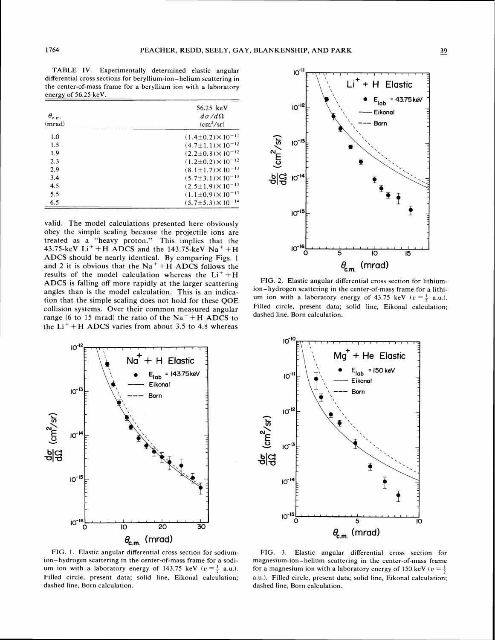TABLE IV. Experimentally determined elastic angular differential cross sections for beryllium-ion-helium scattering in the center-of-mass frame for a beryllium ion with a laboratory

| $\theta_{\rm c.m.}$<br>(mrad) | 56.25 keV<br>$d\sigma/d\Omega$<br>$\rm (cm^2/sr)$ |
|-------------------------------|---------------------------------------------------|
| 1.0                           | $(1.4\pm0.2)\times10^{-11}$                       |
| 1.5                           | $(4.7 \pm 1.1) \times 10^{-12}$                   |
| 1.9                           | $(2.2\pm0.8)\times10^{-12}$                       |
| 2.3                           | $(1.2\pm0.2)\times10^{-12}$                       |
| 2.9                           | $(8.1 \pm 1.7) \times 10^{-13}$                   |
| 3.4                           | $(5.7 \pm 3.1) \times 10^{-13}$                   |
| 4.5                           | $(2.5 \pm 1.9) \times 10^{-13}$                   |
| 5.5                           | $(1.1\pm0.9)\times10^{-13}$                       |
| 6.5                           | $(5.7 \pm 5.3) \times 10^{-14}$                   |

valid. The model calculations presented here obviously obey the simple scaling because the projectile ions are treated as a "heavy proton." This implies that the 43.75-keV  $Li^{+} + H$  ADCS and the 143.75-keV  $Na^{+} + H$ **ADCS** should be nearly identical. By comparing Figs. **1**  and 2 it is obvious that the  $Na<sup>+</sup> + H$  ADCS follows the results of the model calculation whereas the  $Li^{+} + H$ **ADCS** is falling off more rapidly at the larger scattering angles than is the model calculation. This is an indication that the simple scaling does not hold for these QOE collision systems. Over their common measured angular range (6 to 15 mrad) the ratio of the  $Na^+ + H$  ADCS to the  $Li^+ + H$  ADCS varies from about 3.5 to 4.8 whereas



 $10^{-11}$  $Li^+ + H$  Elastic  $E_{\text{lab}}$  = 43.75 keV  $10^{-12}$ Eikonal Born  $rac{de}{d\Omega}$  (cm<sup>2</sup>/sr)<br> $rac{1}{\sqrt{2}}$ <br> $rac{1}{\sqrt{2}}$  $10^{-13}$  $10^{-15}$  $10^{-16}$ ċ  $\overline{10}$  $\overline{15}$  $\overline{\mathbf{5}}$  $\theta_{\rm c.m.}$  (mrad)

FIG. 2. Elastic angular differential cross section for lithiumion-hydrogen scattering in the center-of-mass frame for a lithium ion with a laboratory energy of 43.75 keV ( $v = \frac{1}{2}$  a.u.). Filled circle, present data; solid line, Eikonal calculation; dashed line. Born calculation.



FIG. 1. Elastic angular differential cross section for sodiumion-hydrogen scattering in the center-of-mass frame for a sodium ion with a laboratory energy of 143.75 keV ( $v = \frac{1}{2}$  a.u.). Filled circle, present data; solid line, Eikonal calculation; dashed line, Born calculation.

FIG. **3.** Elastic angular differential cross section for magnesium-ion-helium scattering in the center-of-mass frame for a magnesium ion with a laboratory energy of 150 keV ( $v = \frac{1}{2}$ ) a.u.). Filled circle, present data; solid line, Eikonal calculation; dashed line, Born calculation.

energy of **56.25** keV.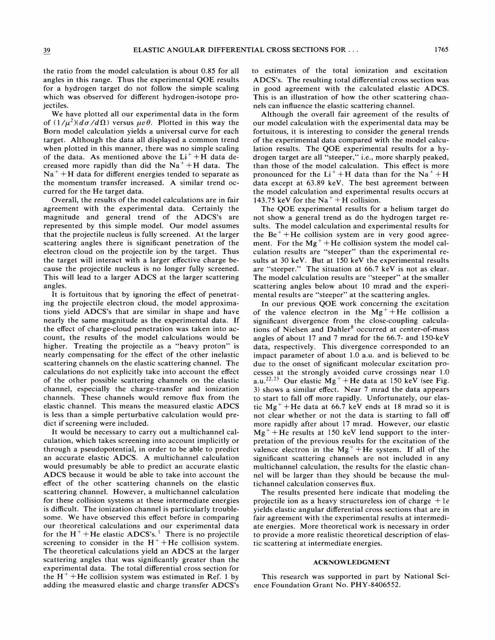the ratio from the model calculation is about 0.85 for all angles in this range. Thus the experimental QOE results for a hydrogen target do not follow the simple scaling which was observed for different hydrogen-isotope projectiles.

We have plotted all our experimental data in the form of  $(1/\mu^2)(d\sigma/d\Omega)$  versus  $\mu\nu\theta$ . Plotted in this way the Born model calculation yields a universal curve for each target. Although the data all displayed a common trend when plotted in this manner, there was no simple scaling of the data. As mentioned above the  $Li<sup>+</sup> + H$  data decreased more rapidly than did the  $Na^{+}+H$  data. The  $Na<sup>+</sup> + H$  data for different energies tended to separate as the momentum transfer increased. A similar trend occurred for the He target data.

Overall, the results of the model calculations are in fair agreement with the experimental data. Certainly the magnitude and general trend of the ADCS's are represented by this simple model. Our model assumes that the projectile nucleus is fully screened. At the larger scattering angles there is significant penetration of the electron cloud on the projectile ion by the target. Thus the target will interact with a larger effective charge because the projectile nucleus is no longer fully screened. This will lead to a larger ADCS at the larger scattering angles.

It is fortuitous that by ignoring the effect of penetrating the projectile electron cloud, the model approximations yield ADCS's that are similar in shape and have nearly the same magnitude as the experimental data. If the effect of charge-cloud penetration was taken into account, the results of the model calculations would be higher. Treating the projectile as a "heavy proton" is nearly compensating for the effect of the other inelastic scattering channels on the elastic scattering channel. The calculations do not explicitly take into account the effect of the other possible scattering channels on the elastic channel, especially the charge-transfer and ionization channels. These channels would remove flux from the elastic channel. This means the measured elastic ADCS is less than a simple perturbative calculation would predict if screening were included.

It would be necessary to carry out a multichannel calculation, which takes screening into account implicitly or through a pseudopotential, in order to be able to predict an accurate elastic ADCS. A multichannel calculation would presumably be able to predict an accurate elastic ADCS because it would be able to take into account the effect of the other scattering channels on the elastic scattering channel. However, a multichannel calculation for these collision systems at these intermediate energies is difficult. The ionization channel is particularly troublesome. We have observed this effect before in comparing our theoretical calculations and our experimental data for the  $H^+$ +He elastic ADCS's.<sup>1</sup> There is no projectile screening to consider in the  $H^+$ +He collision system. The theoretical calculations yield an ADCS at the larger scattering angles that was significantly greater than the experimental data. The total differential cross section for the  $H^+$ +He collision system was estimated in Ref. 1 by adding the measured elastic and charge transfer ADCS's to estimates of the total ionization and excitation ADCS's. The resulting total differential cross section was in good agreement with the calculated elastic ADCS. This is an illustration of how the other scattering channels can influence the elastic scattering channel.

Although the overall fair agreement of the results of our model calculation with the experimental data may be fortuitous, it is interesting to consider the general trends of the experimental data compared with the model calculation results. The QOE experimental results for a hydrogen target are all "steeper," i.e., more sharply peaked, than those of the model calculation. This effect is more pronounced for the  $Li^{+}+H$  data than for the Na<sup>+</sup>+H data except at 63.89 keV. The best agreement between the model calculation and experimental results occurs at 143.75 keV for the  $Na^+ + H$  collision.

The QOE experimental results for a helium target do not show a general trend as do the hydrogen target results. The model calculation and experimental results for the  $Be^+ + He$  collision system are in very good agreement. For the  $Mg^+ + He$  collision system the model calculation results are "steeper" than the experimental results at 30 keV. But at 150 keV the experimental results are "steeper." The situation at 66.7 keV is not as clear. The model calculation results are "steeper" at the smaller scattering angles below about 10 mrad and the experimental results are "steeper" at the scattering angles.

In our previous QOE work concerning the excitation of the valence electron in the  $Mg^{+}$ +He collision a significant divergence from the close-coupling calculations of Nielsen and Dahler<sup>8</sup> occurred at center-of-mass angles of about 17 and 7 mrad for the 66.7- and 150-keV data, respectively. This divergence corresponded to an impact parameter of about 1.0 a.u. and is believed to be due to the onset of significant molecular excitation processes at the strongly avoided curve crossings near 1.0 a.u.<sup>22,23</sup> Our elastic  $Mg^{+}$  + He data at 150 keV (see Fig. 3) shows a similar effect. Near 7 mrad the data appears to start to fall off more rapidly. Unfortunately, our elastic  $Mg^{+}$ +He data at 66.7 keV ends at 18 mrad so it is not clear whether or not the data is starting to fall off more rapidly after about 17 mrad. However, our elastic  $Mg^{+}$  + He results at 150 keV lend support to the interpretation of the previous results for the excitation of the valence electron in the  $Mg^+$ +He system. If all of the significant scattering channels are not included in any multichannel calculation, the results for the elastic channel will be larger than they should be because the multichannel calculation conserves flux.

The results presented here indicate that modeling the projectile ion as a heavy structureless ion of charge  $+1e$ yields elastic angular differential cross sections that are in fair agreement with the experimental results at intermediate energies. More theoretical work is necessary in order to provide a more realistic theoretical description of elastic scattering at intermediate energies.

#### **ACKNOWLEDGMENT**

This research was supported in part by National Science Foundation Grant No. PHY-8406552.